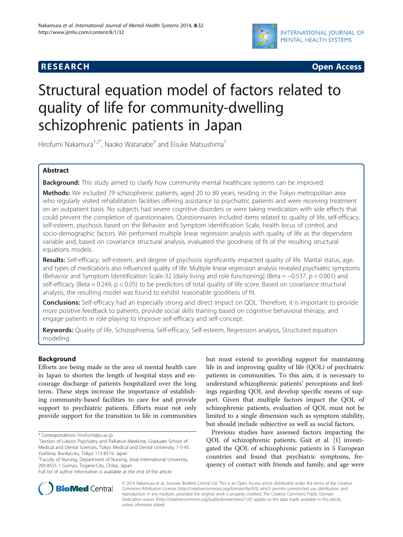

**RESEARCH CHINESE ARCH CHINESE ARCH CHINESE ARCH <b>CHINESE ARCH** 

# Structural equation model of factors related to quality of life for community-dwelling schizophrenic patients in Japan

Hirofumi Nakamura<sup>1,2\*</sup>, Naoko Watanabe<sup>3</sup> and Eisuke Matsushima<sup>1</sup>

# Abstract

Background: This study aimed to clarify how community mental healthcare systems can be improved.

Methods: We included 79 schizophrenic patients, aged 20 to 80 years, residing in the Tokyo metropolitan area who regularly visited rehabilitation facilities offering assistance to psychiatric patients and were receiving treatment on an outpatient basis. No subjects had severe cognitive disorders or were taking medication with side effects that could prevent the completion of questionnaires. Questionnaires included items related to quality of life, self-efficacy, self-esteem, psychosis based on the Behavior and Symptom Identification Scale, health locus of control, and socio-demographic factors. We performed multiple linear regression analysis with quality of life as the dependent variable and, based on covariance structural analysis, evaluated the goodness of fit of the resulting structural equations models.

Results: Self-efficacy, self-esteem, and degree of psychosis significantly impacted quality of life. Marital status, age, and types of medications also influenced quality of life. Multiple linear regression analysis revealed psychiatric symptoms (Behavior and Symptom Identification Scale-32 [daily living and role functioning] (Beta = −0.537, p < 0.001) and self-efficacy (Beta = 0.249, p < 0.05) to be predictors of total quality of life score. Based on covariance structural analysis, the resulting model was found to exhibit reasonable goodness of fit.

**Conclusions:** Self-efficacy had an especially strong and direct impact on QOL. Therefore, it is important to provide more positive feedback to patients, provide social skills training based on cognitive behavioral therapy, and engage patients in role playing to improve self-efficacy and self-concept.

Keywords: Quality of life, Schizophrenia, Self-efficacy, Self-esteem, Regression analysis, Structured equation modeling

# Background

Efforts are being made in the area of mental health care in Japan to shorten the length of hospital stays and encourage discharge of patients hospitalized over the long term. These steps increase the importance of establishing community-based facilities to care for and provide support to psychiatric patients. Efforts must not only provide support for the transition to life in communities

but must extend to providing support for maintaining life in and improving quality of life (QOL) of psychiatric patients in communities. To this aim, it is necessary to understand schizophrenic patients' perceptions and feelings regarding QOL and develop specific means of support. Given that multiple factors impact the QOL of schizophrenic patients, evaluation of QOL must not be limited to a single dimension such as symptom stability, but should include subjective as well as social factors.

Previous studies have assessed factors impacting the QOL of schizophrenic patients. Gait et al. [[1\]](#page-10-0) investigated the QOL of schizophrenic patients in 5 European countries and found that psychiatric symptoms, frequency of contact with friends and family, and age were



© 2014 Nakamura et al.; licensee BioMed Central Ltd. This is an Open Access article distributed under the terms of the Creative Commons Attribution License [\(http://creativecommons.org/licenses/by/4.0\)](http://creativecommons.org/licenses/by/4.0), which permits unrestricted use, distribution, and reproduction in any medium, provided the original work is properly credited. The Creative Commons Public Domain Dedication waiver [\(http://creativecommons.org/publicdomain/zero/1.0/](http://creativecommons.org/publicdomain/zero/1.0/)) applies to the data made available in this article, unless otherwise stated.

<sup>\*</sup> Correspondence: [hirofumi@jiu.ac.jp](mailto:hirofumi@jiu.ac.jp) <sup>1</sup>

<sup>&</sup>lt;sup>1</sup>Section of Liaison Psychiatry and Palliative Medicine, Graduate School of Medical and Dental Sciences, Tokyo Medical and Dental University, 1-5-45 Yushima, Bunkyo-ku, Tokyo 113-8519, Japan

<sup>&</sup>lt;sup>2</sup> Faculty of Nursing, Department of Nursing, Josai International University, 283-8555 1 Gumyo, Togane-City, Chiba, Japan

Full list of author information is available at the end of the article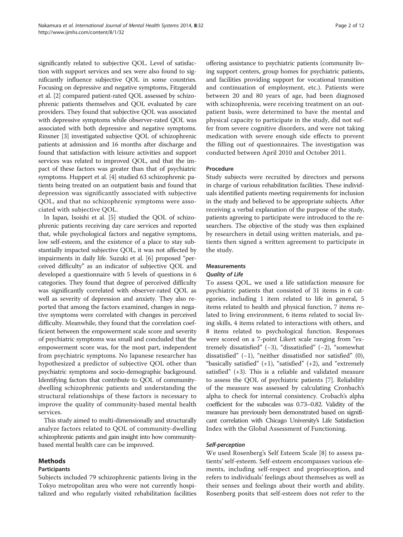significantly related to subjective QOL. Level of satisfaction with support services and sex were also found to significantly influence subjective QOL in some countries. Focusing on depressive and negative symptoms, Fitzgerald et al. [\[2\]](#page-10-0) compared patient-rated QOL assessed by schizophrenic patients themselves and QOL evaluated by care providers. They found that subjective QOL was associated with depressive symptoms while observer-rated QOL was associated with both depressive and negative symptoms. Rinsner [\[3](#page-10-0)] investigated subjective QOL of schizophrenic patients at admission and 16 months after discharge and found that satisfaction with leisure activities and support services was related to improved QOL, and that the impact of these factors was greater than that of psychiatric symptoms. Huppert et al. [\[4](#page-10-0)] studied 63 schizophrenic patients being treated on an outpatient basis and found that depression was significantly associated with subjective QOL, and that no schizophrenic symptoms were associated with subjective QOL.

In Japan, Isoishi et al. [\[5](#page-10-0)] studied the QOL of schizophrenic patients receiving day care services and reported that, while psychological factors and negative symptoms, low self-esteem, and the existence of a place to stay substantially impacted subjective QOL, it was not affected by impairments in daily life. Suzuki et al. [[6\]](#page-10-0) proposed "perceived difficulty" as an indicator of subjective QOL and developed a questionnaire with 5 levels of questions in 6 categories. They found that degree of perceived difficulty was significantly correlated with observer-rated QOL as well as severity of depression and anxiety. They also reported that among the factors examined, changes in negative symptoms were correlated with changes in perceived difficulty. Meanwhile, they found that the correlation coefficient between the empowerment scale score and severity of psychiatric symptoms was small and concluded that the empowerment score was, for the most part, independent from psychiatric symptoms. No Japanese researcher has hypothesized a predictor of subjective QOL other than psychiatric symptoms and socio-demographic background. Identifying factors that contribute to QOL of communitydwelling schizophrenic patients and understanding the structural relationships of these factors is necessary to improve the quality of community-based mental health services.

This study aimed to multi-dimensionally and structurally analyze factors related to QOL of community-dwelling schizophrenic patients and gain insight into how communitybased mental health care can be improved.

# Methods

# Participants

Subjects included 79 schizophrenic patients living in the Tokyo metropolitan area who were not currently hospitalized and who regularly visited rehabilitation facilities

offering assistance to psychiatric patients (community living support centers, group homes for psychiatric patients, and facilities providing support for vocational transition and continuation of employment, etc.). Patients were between 20 and 80 years of age, had been diagnosed with schizophrenia, were receiving treatment on an outpatient basis, were determined to have the mental and physical capacity to participate in the study, did not suffer from severe cognitive disorders, and were not taking medication with severe enough side effects to prevent the filling out of questionnaires. The investigation was conducted between April 2010 and October 2011.

# Procedure

Study subjects were recruited by directors and persons in charge of various rehabilitation facilities. These individuals identified patients meeting requirements for inclusion in the study and believed to be appropriate subjects. After receiving a verbal explanation of the purpose of the study, patients agreeing to participate were introduced to the researchers. The objective of the study was then explained by researchers in detail using written materials, and patients then signed a written agreement to participate in the study.

# Measurements

# Quality of Life

To assess QOL, we used a life satisfaction measure for psychiatric patients that consisted of 31 items in 6 categories, including 1 item related to life in general, 5 items related to health and physical function, 7 items related to living environment, 6 items related to social living skills, 4 items related to interactions with others, and 8 items related to psychological function. Responses were scored on a 7-point Likert scale ranging from "extremely dissatisfied" (−3), "dissatisfied" (−2), "somewhat dissatisfied" (−1), "neither dissatisfied nor satisfied" (0), "basically satisfied"  $(+1)$ , "satisfied"  $(+2)$ , and "extremely satisfied" (+3). This is a reliable and validated measure to assess the QOL of psychiatric patients [\[7](#page-10-0)]. Reliability of the measure was assessed by calculating Cronbach's alpha to check for internal consistency. Crobach's alpha coefficient for the subscales was 0.73–0.82. Validity of the measure has previously been demonstrated based on significant correlation with Chicago University's Life Satisfaction Index with the Global Assessment of Functioning.

# Self-perception

We used Rosenberg's Self Esteem Scale [[8\]](#page-10-0) to assess patients' self-esteem. Self-esteem encompasses various elements, including self-respect and proprioception, and refers to individuals' feelings about themselves as well as their senses and feelings about their worth and ability. Rosenberg posits that self-esteem does not refer to the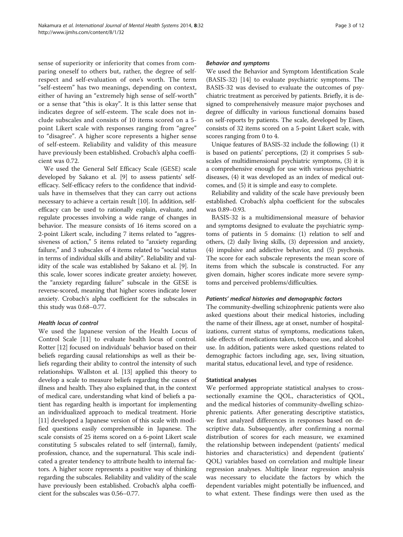sense of superiority or inferiority that comes from comparing oneself to others but, rather, the degree of selfrespect and self-evaluation of one's worth. The term "self-esteem" has two meanings, depending on context, either of having an "extremely high sense of self-worth" or a sense that "this is okay". It is this latter sense that indicates degree of self-esteem. The scale does not include subscales and consists of 10 items scored on a 5 point Likert scale with responses ranging from "agree" to "disagree". A higher score represents a higher sense of self-esteem. Reliability and validity of this measure have previously been established. Crobach's alpha coefficient was 0.72.

We used the General Self Efficacy Scale (GESE) scale developed by Sakano et al. [[9](#page-10-0)] to assess patients' selfefficacy. Self-efficacy refers to the confidence that individuals have in themselves that they can carry out actions necessary to achieve a certain result [[10](#page-10-0)]. In addition, selfefficacy can be used to rationally explain, evaluate, and regulate processes involving a wide range of changes in behavior. The measure consists of 16 items scored on a 2-point Likert scale, including 7 items related to "aggressiveness of action," 5 items related to "anxiety regarding failure," and 3 subscales of 4 items related to "social status in terms of individual skills and ability". Reliability and validity of the scale was established by Sakano et al. [\[9](#page-10-0)]. In this scale, lower scores indicate greater anxiety; however, the "anxiety regarding failure" subscale in the GESE is reverse-scored, meaning that higher scores indicate lower anxiety. Crobach's alpha coefficient for the subscales in this study was 0.68–0.77.

# Health locus of control

We used the Japanese version of the Health Locus of Control Scale [[11](#page-10-0)] to evaluate health locus of control. Rotter [\[12](#page-10-0)] focused on individuals' behavior based on their beliefs regarding causal relationships as well as their beliefs regarding their ability to control the intensity of such relationships. Wallston et al. [[13\]](#page-10-0) applied this theory to develop a scale to measure beliefs regarding the causes of illness and health. They also explained that, in the context of medical care, understanding what kind of beliefs a patient has regarding health is important for implementing an individualized approach to medical treatment. Horie [[11](#page-10-0)] developed a Japanese version of this scale with modified questions easily comprehensible in Japanese. The scale consists of 25 items scored on a 6-point Likert scale constituting 5 subscales related to self (internal), family, profession, chance, and the supernatural. This scale indicated a greater tendency to attribute health to internal factors. A higher score represents a positive way of thinking regarding the subscales. Reliability and validity of the scale have previously been established. Crobach's alpha coefficient for the subscales was 0.56–0.77.

#### Behavior and symptoms

We used the Behavior and Symptom Identification Scale (BASIS-32) [\[14](#page-10-0)] to evaluate psychiatric symptoms. The BASIS-32 was devised to evaluate the outcomes of psychiatric treatment as perceived by patients. Briefly, it is designed to comprehensively measure major psychoses and degree of difficulty in various functional domains based on self-reports by patients. The scale, developed by Eisen, consists of 32 items scored on a 5-point Likert scale, with scores ranging from 0 to 4.

Unique features of BASIS-32 include the following: (1) it is based on patients' perceptions, (2) it comprises 5 subscales of multidimensional psychiatric symptoms, (3) it is a comprehensive enough for use with various psychiatric diseases, (4) it was developed as an index of medical outcomes, and (5) it is simple and easy to complete.

Reliability and validity of the scale have previously been established. Crobach's alpha coefficient for the subscales was 0.89–0.93.

BASIS-32 is a multidimensional measure of behavior and symptoms designed to evaluate the psychiatric symptoms of patients in 5 domains: (1) relation to self and others, (2) daily living skills, (3) depression and anxiety, (4) impulsive and addictive behavior, and (5) psychosis. The score for each subscale represents the mean score of items from which the subscale is constructed. For any given domain, higher scores indicate more severe symptoms and perceived problems/difficulties.

#### Patients' medical histories and demographic factors

The community-dwelling schizophrenic patients were also asked questions about their medical histories, including the name of their illness, age at onset, number of hospitalizations, current status of symptoms, medications taken, side effects of medications taken, tobacco use, and alcohol use. In addition, patients were asked questions related to demographic factors including age, sex, living situation, marital status, educational level, and type of residence.

#### Statistical analyses

We performed appropriate statistical analyses to crosssectionally examine the QOL, characteristics of QOL, and the medical histories of community-dwelling schizophrenic patients. After generating descriptive statistics, we first analyzed differences in responses based on descriptive data. Subsequently, after confirming a normal distribution of scores for each measure, we examined the relationship between independent (patients' medical histories and characteristics) and dependent (patients' QOL) variables based on correlation and multiple linear regression analyses. Multiple linear regression analysis was necessary to elucidate the factors by which the dependent variables might potentially be influenced, and to what extent. These findings were then used as the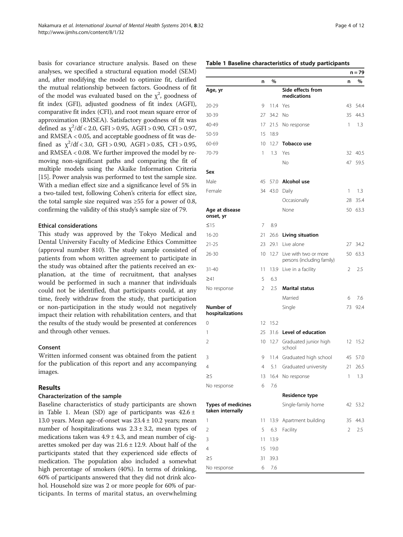basis for covariance structure analysis. Based on these analyses, we specified a structural equation model (SEM) and, after modifying the model to optimize fit, clarified the mutual relationship between factors. Goodness of fit of the model was evaluated based on the  $\chi^2$ , goodness of fit index (GFI), adjusted goodness of fit index (AGFI), comparative fit index (CFI), and root mean square error of approximation (RMSEA). Satisfactory goodness of fit was defined as  $\chi^2$ /df < 2.0, GFI > 0.95, AGFI > 0.90, CFI > 0.97, and RMSEA < 0.05, and acceptable goodness of fit was defined as  $\chi^2$ /df < 3.0, GFI > 0.90, AGFI > 0.85, CFI > 0.95, and RMSEA < 0.08. We further improved the model by removing non-significant paths and comparing the fit of multiple models using the Akaike Information Criteria [[15](#page-10-0)]. Power analysis was performed to test the sample size. With a median effect size and a significance level of 5% in a two-tailed test, following Cohen's criteria for effect size, the total sample size required was  $\geq 55$  for a power of 0.8, confirming the validity of this study's sample size of 79.

#### Ethical considerations

This study was approved by the Tokyo Medical and Dental University Faculty of Medicine Ethics Committee (approval number 810). The study sample consisted of patients from whom written agreement to participate in the study was obtained after the patients received an explanation, at the time of recruitment, that analyses would be performed in such a manner that individuals could not be identified, that participants could, at any time, freely withdraw from the study, that participation or non-participation in the study would not negatively impact their relation with rehabilitation centers, and that the results of the study would be presented at conferences and through other venues.

#### Consent

Written informed consent was obtained from the patient for the publication of this report and any accompanying images.

# Results

#### Characterization of the sample

Baseline characteristics of study participants are shown in Table 1. Mean (SD) age of participants was  $42.6 \pm$ 13.0 years. Mean age-of-onset was  $23.4 \pm 10.2$  years; mean number of hospitalizations was  $2.3 \pm 3.2$ , mean types of medications taken was  $4.9 \pm 4.3$ , and mean number of cigarettes smoked per day was  $21.6 \pm 12.9$ . About half of the participants stated that they experienced side effects of medication. The population also included a somewhat high percentage of smokers (40%). In terms of drinking, 60% of participants answered that they did not drink alcohol. Household size was 2 or more people for 60% of participants. In terms of marital status, an overwhelming

#### Table 1 Baseline characteristics of study participants

|                                               |    |      |                                                     |    | n = 79 |
|-----------------------------------------------|----|------|-----------------------------------------------------|----|--------|
|                                               | n  | %    |                                                     | n  | %      |
| Age, yr                                       |    |      | Side effects from<br>medications                    |    |        |
| 20-29                                         | 9  | 11.4 | Yes                                                 | 43 | 54.4   |
| 30-39                                         | 27 | 34.2 | No                                                  | 35 | 44.3   |
| 40-49                                         | 17 | 21.5 | No response                                         | 1  | 1.3    |
| 50-59                                         | 15 | 18.9 |                                                     |    |        |
| 60-69                                         | 10 | 12.7 | Tobacco use                                         |    |        |
| 70-79                                         | 1  | 1.3  | Yes                                                 | 32 | 40.5   |
|                                               |    |      | No                                                  | 47 | 59.5   |
| Sex                                           |    |      |                                                     |    |        |
| Male                                          | 45 | 57.0 | Alcohol use                                         |    |        |
| Female                                        | 34 | 43.0 | Daily                                               | 1  | 1.3    |
|                                               |    |      | Occasionally                                        | 28 | 35.4   |
| Age at disease<br>onset, yr                   |    |      | None                                                | 50 | 63.3   |
| $\leq$ 15                                     | 7  | 8.9  |                                                     |    |        |
| $16 - 20$                                     | 21 | 26.6 | Living situation                                    |    |        |
| 21-25                                         | 23 | 29.1 | Live alone                                          | 27 | 34.2   |
| 26-30                                         | 10 | 12.7 | Live with two or more<br>persons (including family) | 50 | 63.3   |
| 31-40                                         | 11 | 13.9 | Live in a facility                                  | 2  | 2.5    |
| $\geq 41$                                     | 5  | 6.3  |                                                     |    |        |
| No response                                   | 2  | 2.5  | <b>Marital status</b>                               |    |        |
|                                               |    |      | Married                                             | 6  | 7.6    |
| Number of<br>hospitalizations                 |    |      | Single                                              | 73 | 92.4   |
| 0                                             | 12 | 15.2 |                                                     |    |        |
| 1                                             | 25 | 31.6 | Level of education                                  |    |        |
| 2                                             | 10 | 12.7 | Graduated junior high<br>school                     | 12 | 15.2   |
| 3                                             | 9  | 11.4 | Graduated high school                               | 45 | 57.0   |
| 4                                             | 4  | 5.1  | Graduated university                                | 21 | 26.5   |
| $\geq$ 5                                      | 13 |      | 16.4 No response                                    | 1  | 1.3    |
| No response                                   | 6  | 7.6  |                                                     |    |        |
|                                               |    |      | Residence type                                      |    |        |
| <b>Types of medicines</b><br>taken internally |    |      | Single-family home                                  | 42 | 53.2   |
| 1                                             | 11 | 13.9 | Apartment building                                  | 35 | 44.3   |
| 2                                             | 5  | 6.3  | Facility                                            | 2  | 2.5    |
| 3                                             | 11 | 13.9 |                                                     |    |        |
| 4                                             | 15 | 19.0 |                                                     |    |        |
| $\geq$ 5                                      | 31 | 39.3 |                                                     |    |        |
| No response                                   | 6  | 7.6  |                                                     |    |        |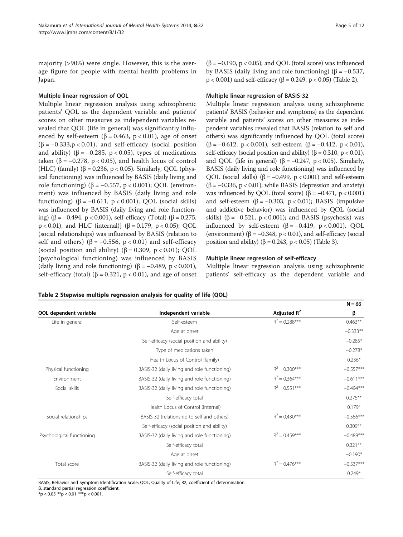majority (>90%) were single. However, this is the average figure for people with mental health problems in Japan.

#### Multiple linear regression of QOL

Multiple linear regression analysis using schizophrenic patients' QOL as the dependent variable and patients' scores on other measures as independent variables revealed that QOL (life in general) was significantly influenced by self-esteem ( $\beta$  = 0.463, p < 0.01), age of onset  $(\beta = -0.333, p < 0.01)$ , and self-efficacy (social position and ability) ( $\beta$  = -0.285, p < 0.05), types of medications taken ( $\beta = -0.278$ ,  $p < 0.05$ ), and health locus of control (HLC) (family) ( $\beta$  = 0.236, p < 0.05). Similarly, QOL (physical functioning) was influenced by BASIS (daily living and role functioning) ( $β = -0.557$ ,  $p < 0.001$ ); QOL (environment) was influenced by BASIS (daily living and role functioning) ( $\beta$  = -0.611, p < 0.001); QOL (social skills) was influenced by BASIS (daily living and role functioning) (β = −0.494, p < 0.001), self-efficacy (Total) (β = 0.275,  $p < 0.01$ ), and HLC (internal)] (β = 0.179, p < 0.05); QOL (social relationships) was influenced by BASIS (relation to self and others) ( $\beta$  = -0.556, p < 0.01) and self-efficacy (social position and ability) ( $\beta = 0.309$ , p < 0.01); QOL (psychological functioning) was influenced by BASIS (daily living and role functioning) ( $\beta$  = −0.489, p < 0.001), self-efficacy (total) ( $\beta$  = 0.321, p < 0.01), and age of onset

 $(\beta = -0.190, p < 0.05)$ ; and QOL (total score) was influenced by BASIS (daily living and role functioning) (β = −0.537, p < 0.001) and self-efficacy (β = 0.249, p < 0.05) (Table 2).

#### Multiple linear regression of BASIS-32

Multiple linear regression analysis using schizophrenic patients' BASIS (behavior and symptoms) as the dependent variable and patients' scores on other measures as independent variables revealed that BASIS (relation to self and others) was significantly influenced by QOL (total score) ( $\beta$  = -0.612, p < 0.001), self-esteem ( $\beta$  = -0.412, p < 0.01), self-efficacy (social position and ability) ( $\beta$  = 0.310, p < 0.01), and OOL (life in general) ( $\beta$  = -0.247, p < 0.05). Similarly, BASIS (daily living and role functioning) was influenced by QOL (social skills) ( $\beta$  = -0.499, p < 0.001) and self-esteem  $(\beta = -0.336, p < 0.01)$ ; while BASIS (depression and anxiety) was influenced by QOL (total score) ( $\beta$  = −0.471, p < 0.001) and self-esteem ( $\beta$  = -0.303, p < 0.01); BASIS (impulsive and addictive behavior) was influenced by QOL (social skills) ( $\beta$  = -0.521, p < 0.001); and BASIS (psychosis) was influenced by self-esteem ( $\beta$  = -0.419, p < 0.001), QOL (environment) ( $\beta$  = -0.348, p < 0.01), and self-efficacy (social position and ability) ( $β = 0.243$ ,  $p < 0.05$ ) (Table [3](#page-5-0)).

#### Multiple linear regression of self-efficacy

Multiple linear regression analysis using schizophrenic patients' self-efficacy as the dependent variable and

|                           |                                              |                   | $N = 66$    |
|---------------------------|----------------------------------------------|-------------------|-------------|
| QOL dependent variable    | Independent variable                         | Adjusted $R^2$    | β           |
| Life in general           | Self-esteem                                  | $R^2 = 0.288***$  | $0.463**$   |
|                           | Age at onset                                 |                   | $-0.333**$  |
|                           | Self-efficacy (social position and ability)  |                   | $-0.285*$   |
|                           | Type of medications taken                    |                   | $-0.278*$   |
|                           | Health Locus of Control (family)             |                   | $0.236*$    |
| Physical functioning      | BASIS-32 (daily living and role functioning) | $R^2 = 0.300***$  | $-0.557***$ |
| Environment               | BASIS-32 (daily living and role functioning) | $R^2 = 0.364***$  | $-0.611***$ |
| Social skills             | BASIS-32 (daily living and role functioning) | $R^2 = 0.551***$  | $-0.494***$ |
|                           | Self-efficacy total                          |                   | $0.275***$  |
|                           | Health Locus of Control (internal)           |                   | $0.179*$    |
| Social relationships      | BASIS-32 (relationship to self and others)   | $R^2 = 0.430***$  | $-0.556***$ |
|                           | Self-efficacy (social position and ability)  |                   | $0.309**$   |
| Psychological functioning | BASIS-32 (daily living and role functioning) | $R^2 = 0.459***$  | $-0.489***$ |
|                           | Self-efficacy total                          |                   | $0.321**$   |
|                           | Age at onset                                 |                   | $-0.190*$   |
| Total score               | BASIS-32 (daily living and role functioning) | $R^2 = 0.476$ *** | $-0.537***$ |
|                           | Self-efficacy total                          |                   | $0.249*$    |

#### Table 2 Stepwise multiple regression analysis for quality of life (QOL)

BASIS, Behavior and Symptom Identification Scale; QOL, Quality of Life; R2, coefficient of determination.

β, standard partial regression coefficient.

 $*$ p < 0.05  $*$  $*$ p < 0.01  $*$  $*$  $*$ p < 0.001.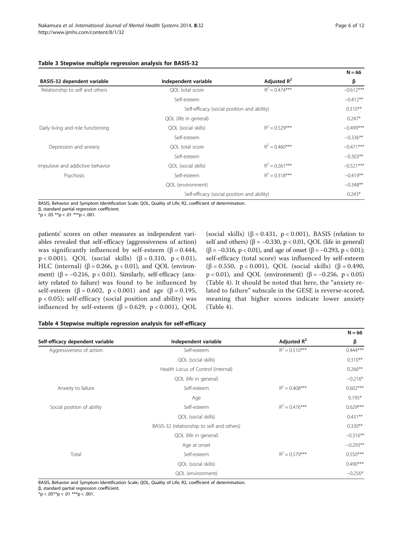#### <span id="page-5-0"></span>Table 3 Stepwise multiple regression analysis for BASIS-32

|                                   |                                             |                  | $N = 66$    |
|-----------------------------------|---------------------------------------------|------------------|-------------|
| BASIS-32 dependent variable       | Independent variable                        | Adjusted $R^2$   | β           |
| Relationship to self and others   | OOL total score                             | $R^2 = 0.474***$ | $-0.612***$ |
|                                   | Self-esteem                                 |                  | $-0.412**$  |
|                                   | Self-efficacy (social position and ability) |                  | $0.310**$   |
|                                   | QOL (life in general)                       |                  | $0.247*$    |
| Daily living and role functioning | QOL (social skills)                         | $R^2 = 0.529***$ | $-0.499***$ |
|                                   | Self-esteem                                 |                  | $-0.336**$  |
| Depression and anxiery            | QOL total score                             | $R^2 = 0.460***$ | $-0.471***$ |
|                                   | Self-esteem                                 |                  | $-0.303**$  |
| Impulsive and addictive behavior  | QOL (social skills)                         | $R^2 = 0.261***$ | $-0.521***$ |
| Psychosis                         | Self-esteem                                 | $R^2 = 0.318***$ | $-0.419**$  |
|                                   | QOL (environment)                           |                  | $-0.348**$  |
|                                   | Self-efficacy (social position and ability) |                  | $0.243*$    |

BASIS, Behavior and Symptom Identification Scale; QOL, Quality of Life; R2, coefficient of determination.

β, standard partial regression coefficient.

 $*$ p < .05  $*$  $*$ p < .01  $*$  $*$  $*$ p < .001.

patients' scores on other measures as independent variables revealed that self-efficacy (aggressiveness of action) was significantly influenced by self-esteem ( $\beta$  = 0.444, p < 0.001), QOL (social skills) (β = 0.310, p < 0.01), HLC (internal) ( $β = 0.266$ ,  $p < 0.01$ ), and QOL (environment) ( $\beta$  = -0.216, p < 0.01). Similarly, self-efficacy (anxiety related to failure) was found to be influenced by self-esteem (β = 0.602, p < 0.001) and age (β = 0.195, p < 0.05); self-efficacy (social position and ability) was influenced by self-esteem ( $β = 0.629$ ,  $p < 0.001$ ), QOL

(social skills) ( $\beta = 0.431$ ,  $p < 0.001$ ), BASIS (relation to self and others) ( $\beta$  = −0.330, p < 0.01, QOL (life in general) ( $\beta$  = -0.316, p < 0.01), and age of onset ( $\beta$  = -0.293, p < 0.01); self-efficacy (total score) was influenced by self-esteem ( $\beta = 0.550$ , p < 0.001), QOL (social skills) ( $\beta = 0.490$ , p < 0.01), and QOL (environment) ( $β = -0.256$ , p < 0.05) (Table 4). It should be noted that here, the "anxiety related to failure" subscale in the GESE is reverse-scored, meaning that higher scores indicate lower anxiety (Table 4).

# Table 4 Stepwise multiple regression analysis for self-efficacy

|                                  |                                            |                  | $N = 66$   |
|----------------------------------|--------------------------------------------|------------------|------------|
| Self-efficacy dependent variable | Independent variable                       | Adjusted $R^2$   | β          |
| Aggressiveness of action         | Self-esteem                                | $R^2 = 0.510***$ | $0.444***$ |
|                                  | QOL (social skills)                        |                  | $0.310**$  |
|                                  | Health Locus of Control (internal)         |                  | $0.266***$ |
|                                  | QOL (life in general)                      |                  | $-0.216*$  |
| Anxiety to failure               | Self-esteem                                | $R^2 = 0.408***$ | $0.602***$ |
|                                  | Age                                        |                  | $0.195*$   |
| Social position of ability       | Self-esteem                                | $R^2 = 0.476***$ | $0.629***$ |
|                                  | QOL (social skills)                        |                  | $0.431**$  |
|                                  | BASIS-32 (relationship to self and others) |                  | $0.330**$  |
|                                  | QOL (life in general)                      |                  | $-0.316**$ |
|                                  | Age at onset                               |                  | $-0.293**$ |
| Total                            | Self-esteem                                | $R^2 = 0.579***$ | $0.550***$ |
|                                  | QOL (social skills)                        |                  | $0.490***$ |
|                                  | QOL (environment)                          |                  | $-0.256*$  |

BASIS, Behavior and Symptom Identification Scale; QOL, Quality of Life; R2, coefficient of determination.

β, standard partial regression coefficient.

 $*$ p < .05\*\*p < .01 \*\*\*p < .001.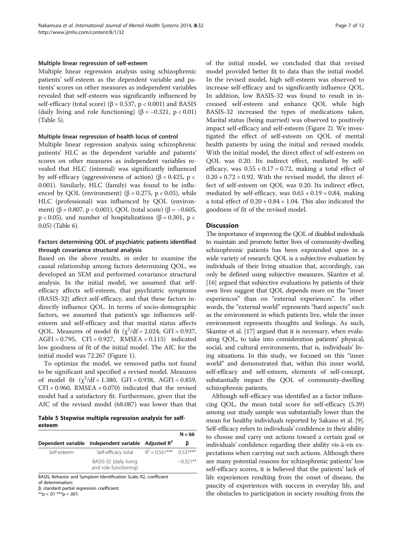#### Multiple linear regression of self-esteem

Multiple linear regression analysis using schizophrenic patients' self-esteem as the dependent variable and patients' scores on other measures as independent variables revealed that self-esteem was significantly influenced by self-efficacy (total score) ( $\beta$  = 0.537, p < 0.001) and BASIS (daily living and role functioning) ( $\beta$  = −0.321, p < 0.01) (Table 5).

#### Multiple linear regression of health locus of control

Multiple linear regression analysis using schizophrenic patients' HLC as the dependent variable and patients' scores on other measures as independent variables revealed that HLC (internal) was significantly influenced by self-efficacy (aggressiveness of action) (β = 0.425, p < 0.001). Similarly, HLC (family) was found to be influenced by QOL (environment) ( $\beta$  = 0.275, p < 0.05), while HLC (professional) was influenced by QOL (environment) (β = 0.807, p < 0.001), QOL (total score) (β = -0.605, p < 0.05), and number of hospitalizations (β = 0.301, p < 0.05) (Table [6](#page-7-0)).

#### Factors determining QOL of psychiatric patients identified through covariance structural analysis

Based on the above results, in order to examine the causal relationship among factors determining QOL, we developed an SEM and performed covariance structural analysis. In the initial model, we assumed that selfefficacy affects self-esteem, that psychiatric symptoms (BASIS-32) affect self-efficacy, and that these factors indirectly influence QOL. In terms of socio-demographic factors, we assumed that patient's age influences selfesteem and self-efficacy and that marital status affects QOL. Measures of model fit  $(\chi^2/df = 2.024, GFI = 0.937,$ AGFI = 0.795, CFI = 0.927, RMSEA = 0.115) indicated low goodness of fit of the initial model. The AIC for the initial model was 72.267 (Figure [1\)](#page-7-0).

To optimize the model, we removed paths not found to be significant and specified a revised model. Measures of model fit  $(\chi^2/df = 1.380, \text{ GFI} = 0.938, \text{ AGFI} = 0.859,$  $CFI = 0.960$ ,  $RMSEA = 0.070$ ) indicated that the revised model had a satisfactory fit. Furthermore, given that the AIC of the revised model (68.087) was lower than that

Table 5 Stepwise multiple regression analysis for selfesteem

|             |                                                        |                           | $N = 66$   |
|-------------|--------------------------------------------------------|---------------------------|------------|
|             | Dependent variable Independent variable Adjusted $R^2$ |                           | ß          |
| Self-esteem | Self-efficacy total                                    | $R^2 = 0.561***$ 0.537*** |            |
|             | BASIS-32 (daily living<br>and role functioning)        |                           | $-0.321**$ |

BASIS, Behavior and Symptom Identification Scale; R2, coefficient of determination;

β, standard partial regression coefficient.

\*\*p < .01 \*\*\*p < .001.

of the initial model, we concluded that that revised model provided better fit to data than the initial model. In the revised model, high self-esteem was observed to increase self-efficacy and to significantly influence QOL. In addition, low BASIS-32 was found to result in increased self-esteem and enhance QOL while high BASIS-32 increased the types of medications taken. Marital status (being married) was observed to positively impact self-efficacy and self-esteem (Figure [2\)](#page-8-0). We investigated the effect of self-esteem on QOL of mental health patients by using the initial and revised models. With the initial model, the direct effect of self-esteem on QOL was 0.20. Its indirect effect, mediated by selfefficacy, was  $0.55 + 0.17 = 0.72$ , making a total effect of  $0.20 + 0.72 = 0.92$ . With the revised model, the direct effect of self-esteem on QOL was 0.20. Its indirect effect, mediated by self-efficacy, was  $0.65 + 0.19 = 0.84$ , making a total effect of  $0.20 + 0.84 = 1.04$ . This also indicated the goodness of fit of the revised model.

#### **Discussion**

The importance of improving the QOL of disabled individuals to maintain and promote better lives of community-dwelling schizophrenic patients has been expounded upon in a wide variety of research. QOL is a subjective evaluation by individuals of their living situation that, accordingly, can only be defined using subjective measures. Skantze et al. [[16](#page-10-0)] argued that subjective evaluations by patients of their own lives suggest that QOL depends more on the "inner experiences" than on "external experiences". In other words, the "external world" represents "hard aspects" such as the environment in which patients live, while the inner environment represents thoughts and feelings. As such, Skantze et al. [\[17\]](#page-10-0) argued that it is necessary, when evaluating QOL, to take into consideration patients' physical, social, and cultural environments, that is, individuals' living situations. In this study, we focused on this "inner world" and demonstrated that, within this inner world, self-efficacy and self-esteem, elements of self-concept, substantially impact the QOL of community-dwelling schizophrenic patients.

Although self-efficacy was identified as a factor influencing QOL, the mean total score for self-efficacy (5.39) among our study sample was substantially lower than the mean for healthy individuals reported by Sakano et al. [[9](#page-10-0)]. Self-efficacy refers to individuals' confidence in their ability to choose and carry out actions toward a certain goal or individuals' confidence regarding their ability vis-à-vis expectations when carrying out such actions. Although there are many potential reasons for schizophrenic patients' low self-efficacy scores, it is believed that the patients' lack of life experiences resulting from the onset of disease, the paucity of experiences with success in everyday life, and the obstacles to participation in society resulting from the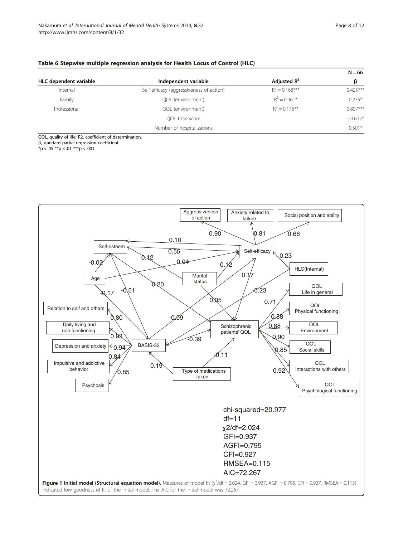#### <span id="page-7-0"></span>Table 6 Stepwise multiple regression analysis for Health Locus of Control (HLC)

|                        |                                          |                  | $N = 66$   |
|------------------------|------------------------------------------|------------------|------------|
| HLC dependent variable | Independent variable                     | Adjusted $R^2$   | ß          |
| Internal               | Self-efficacy (aggressiveness of action) | $R^2 = 0.168***$ | $0.425***$ |
| Family                 | QOL (environment)                        | $R^2 = 0.061*$   | $0.275*$   |
| Professional           | QOL (environment)                        | $R^2 = 0.176$ ** | $0.807***$ |
|                        | OOL total score                          |                  | $-0.605*$  |
|                        | Number of hospitalizations               |                  | $0.301*$   |

QOL, quality of life; R2, coefficient of determination.

β, standard partial regression coefficient.

 $*p < .05 **p < .01 **p < .001$ .

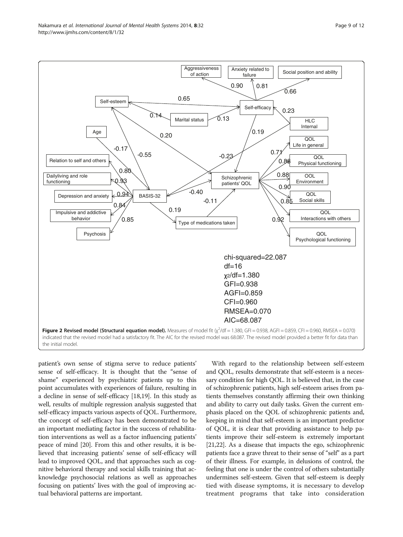<span id="page-8-0"></span>

patient's own sense of stigma serve to reduce patients' sense of self-efficacy. It is thought that the "sense of shame" experienced by psychiatric patients up to this point accumulates with experiences of failure, resulting in a decline in sense of self-efficacy [\[18,19](#page-10-0)]. In this study as well, results of multiple regression analysis suggested that self-efficacy impacts various aspects of QOL. Furthermore, the concept of self-efficacy has been demonstrated to be an important mediating factor in the success of rehabilitation interventions as well as a factor influencing patients' peace of mind [[20](#page-10-0)]. From this and other results, it is believed that increasing patients' sense of self-efficacy will lead to improved QOL, and that approaches such as cognitive behavioral therapy and social skills training that acknowledge psychosocial relations as well as approaches focusing on patients' lives with the goal of improving actual behavioral patterns are important.

With regard to the relationship between self-esteem and QOL, results demonstrate that self-esteem is a necessary condition for high QOL. It is believed that, in the case of schizophrenic patients, high self-esteem arises from patients themselves constantly affirming their own thinking and ability to carry out daily tasks. Given the current emphasis placed on the QOL of schizophrenic patients and, keeping in mind that self-esteem is an important predictor of QOL, it is clear that providing assistance to help patients improve their self-esteem is extremely important [[21](#page-10-0),[22](#page-10-0)]. As a disease that impacts the ego, schizophrenic patients face a grave threat to their sense of "self" as a part of their illness. For example, in delusions of control, the feeling that one is under the control of others substantially undermines self-esteem. Given that self-esteem is deeply tied with disease symptoms, it is necessary to develop treatment programs that take into consideration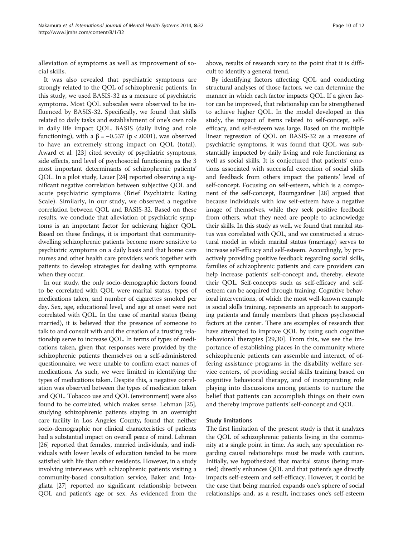alleviation of symptoms as well as improvement of social skills.

It was also revealed that psychiatric symptoms are strongly related to the QOL of schizophrenic patients. In this study, we used BASIS-32 as a measure of psychiatric symptoms. Most QOL subscales were observed to be influenced by BASIS-32. Specifically, we found that skills related to daily tasks and establishment of one's own role in daily life impact QOL. BASIS (daily living and role functioning), with a  $β = -0.537 (p < .0001)$ , was observed to have an extremely strong impact on QOL (total). Award et al. [\[23](#page-10-0)] cited severity of psychiatric symptoms, side effects, and level of psychosocial functioning as the 3 most important determinants of schizophrenic patients' QOL. In a pilot study, Lauer [[24](#page-10-0)] reported observing a significant negative correlation between subjective QOL and acute psychiatric symptoms (Brief Psychiatric Rating Scale). Similarly, in our study, we observed a negative correlation between QOL and BASIS-32. Based on these results, we conclude that alleviation of psychiatric symptoms is an important factor for achieving higher QOL. Based on these findings, it is important that communitydwelling schizophrenic patients become more sensitive to psychiatric symptoms on a daily basis and that home care nurses and other health care providers work together with patients to develop strategies for dealing with symptoms when they occur.

In our study, the only socio-demographic factors found to be correlated with QOL were marital status, types of medications taken, and number of cigarettes smoked per day. Sex, age, educational level, and age at onset were not correlated with QOL. In the case of marital status (being married), it is believed that the presence of someone to talk to and consult with and the creation of a trusting relationship serve to increase QOL. In terms of types of medications taken, given that responses were provided by the schizophrenic patients themselves on a self-administered questionnaire, we were unable to confirm exact names of medications. As such, we were limited in identifying the types of medications taken. Despite this, a negative correlation was observed between the types of medication taken and QOL. Tobacco use and QOL (environment) were also found to be correlated, which makes sense. Lehman [[25](#page-10-0)], studying schizophrenic patients staying in an overnight care facility in Los Angeles County, found that neither socio-demographic nor clinical characteristics of patients had a substantial impact on overall peace of mind. Lehman [[26](#page-10-0)] reported that females, married individuals, and individuals with lower levels of education tended to be more satisfied with life than other residents. However, in a study involving interviews with schizophrenic patients visiting a community-based consultation service, Baker and Intagliata [\[27\]](#page-10-0) reported no significant relationship between QOL and patient's age or sex. As evidenced from the

above, results of research vary to the point that it is difficult to identify a general trend.

By identifying factors affecting QOL and conducting structural analyses of those factors, we can determine the manner in which each factor impacts QOL. If a given factor can be improved, that relationship can be strengthened to achieve higher QOL. In the model developed in this study, the impact of items related to self-concept, selfefficacy, and self-esteem was large. Based on the multiple linear regression of QOL on BASIS-32 as a measure of psychiatric symptoms, it was found that QOL was substantially impacted by daily living and role functioning as well as social skills. It is conjectured that patients' emotions associated with successful execution of social skills and feedback from others impact the patients' level of self-concept. Focusing on self-esteem, which is a component of the self-concept, Baumgardner [[28](#page-10-0)] argued that because individuals with low self-esteem have a negative image of themselves, while they seek positive feedback from others, what they need are people to acknowledge their skills. In this study as well, we found that marital status was correlated with QOL, and we constructed a structural model in which marital status (marriage) serves to increase self-efficacy and self-esteem. Accordingly, by proactively providing positive feedback regarding social skills, families of schizophrenic patients and care providers can help increase patients' self-concept and, thereby, elevate their QOL. Self-concepts such as self-efficacy and selfesteem can be acquired through training. Cognitive behavioral interventions, of which the most well-known example is social skills training, represents an approach to supporting patients and family members that places psychosocial factors at the center. There are examples of research that have attempted to improve QOL by using such cognitive behavioral therapies [[29,30](#page-11-0)]. From this, we see the importance of establishing places in the community where schizophrenic patients can assemble and interact, of offering assistance programs in the disability welfare service centers, of providing social skills training based on cognitive behavioral therapy, and of incorporating role playing into discussions among patients to nurture the belief that patients can accomplish things on their own and thereby improve patients' self-concept and QOL.

#### Study limitations

The first limitation of the present study is that it analyzes the QOL of schizophrenic patients living in the community at a single point in time. As such, any speculation regarding causal relationships must be made with caution. Initially, we hypothesized that marital status (being married) directly enhances QOL and that patient's age directly impacts self-esteem and self-efficacy. However, it could be the case that being married expands one's sphere of social relationships and, as a result, increases one's self-esteem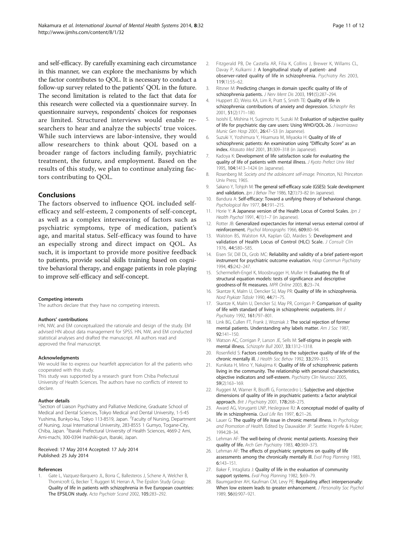<span id="page-10-0"></span>and self-efficacy. By carefully examining each circumstance in this manner, we can explore the mechanisms by which the factor contributes to QOL. It is necessary to conduct a follow-up survey related to the patients' QOL in the future. The second limitation is related to the fact that data for this research were collected via a questionnaire survey. In questionnaire surveys, respondents' choices for responses are limited. Structured interviews would enable researchers to hear and analyze the subjects' true voices. While such interviews are labor-intensive, they would allow researchers to think about QOL based on a broader range of factors including family, psychiatric treatment, the future, and employment. Based on the results of this study, we plan to continue analyzing factors contributing to QOL.

#### Conclusions

The factors observed to influence QOL included selfefficacy and self-esteem, 2 components of self-concept, as well as a complex interweaving of factors such as psychiatric symptoms, type of medication, patient's age, and marital status. Self-efficacy was found to have an especially strong and direct impact on QOL. As such, it is important to provide more positive feedback to patients, provide social skills training based on cognitive behavioral therapy, and engage patients in role playing to improve self-efficacy and self-concept.

#### Competing interests

The authors declare that they have no competing interests.

#### Authors' contributions

HN, NW, and EM conceptualized the rationale and design of the study. EM advised HN about data management for SPSS. HN, NW, and EM conducted statistical analyses and drafted the manuscript. All authors read and approved the final manuscript.

#### Acknowledgments

We would like to express our heartfelt appreciation for all the patients who cooperated with this study.

This study was supported by a research grant from Chiba Prefectural University of Health Sciences. The authors have no conflicts of interest to declare.

#### Author details

<sup>1</sup>Section of Liaison Psychiatry and Palliative Medicine, Graduate School of Medical and Dental Sciences, Tokyo Medical and Dental University, 1-5-45 Yushima, Bunkyo-ku, Tokyo 113-8519, Japan. <sup>2</sup>Faculty of Nursing, Department of Nursing, Josai International University, 283-8555 1 Gumyo, Togane-City, Chiba, Japan. <sup>3</sup>lbaraki Prefectural University of Health Sciences, 4669-2 Ami, Ami-machi, 300-0394 Inashiki-gun, Ibaraki, Japan.

#### Received: 17 May 2014 Accepted: 17 July 2014 Published: 25 July 2014

#### References

Gate L, Vazquez-Barquero JL, Borra C, Ballesteros J, Schene A, Welcher B, Thornicroft G, Becker T, Ruggeri M, Herran A, The Epsilon Study Group: Quality of life in patients with schizophrenia in five European countries: The EPSILON study. Acta Psychiatr Scand 2002, 105:283–292.

- 2. Fitzgerald PB, De Castella AR, Filia K, Collins J, Brewer K, Willams CL, Davay P, Kulkarni J: A longitudinal study of patient- and observer-rated quality of life in schizophrenia. Psychiatry Res 2003, 119(1):55–62.
- 3. Ritsner M: Predicting changes in domain specific quality of life of schizophrenia patients. J Nerv Ment Dis 2003, 191(5):287-294.
- 4. Huppert JD, Weiss KA, Lim R, Pratt S, Smith TE: **Quality of life in** schizophrenia: contributions of anxiety and depression. Schizophr Res 2001, 51(2):171–180.
- 5. Isoishi E, Mishina H, Sugimoto H, Suzuki M: Evaluation of subjective quality of life for psychiatric day care users: Using WHO/QOL-26. J Iwamizawa Munic Gen Hosp 2001, 26:47–53 (in Japanese).
- 6. Suzuki Y, Yoshimura Y, Hisamura M, Miyaoka H: Quality of life of schizophrenic patients: An examination using "Difficulty Score" as an index. Kitasato Med 2001, 31:309–318 (in Japanese).
- 7. Kadoya K: Development of life satisfaction scale for evaluating the quality of life of patients with mental illness. J Kyoto Prefect Univ Med 1995, 104:1413–1424 (in Japanese).
- 8. Rosenberg M: Society and the adolescent self-image. Princeton, NJ: Princeton Univ Press; 1965.
- 9. Sakano Y, Tohjoh M: The general self-efficacy scale (GSES): Scale development and validation. Jpn J Behav Ther 1986, 12(1):73-82 (in Japanese).
- 10. Bandura A: Self-efficacy: Toward a unifying theory of behavioral change. Psychological Rev 1977, 84:191–215.
- 11. Horie Y: A Japanese version of the Health Locus of Control Scales. Jpn J Health Psychol 1991, 4(1):1-7 (in Japanese).
- 12. Rotter JB: Generalized expectancies for internal versus external control of reinforcement. Psychol Monographs 1966, 609:80–94.
- 13. Walston BS, Walston KA, Kaplan GD, Maides S: Development and validation of Health Locus of Control (HLC) Scale. J Consult Clin 1976, 44:580–585.
- 14. Eisen SV, Dill DL, Grob MC: Reliability and validity of a brief patient-report instrument for psychiatric outcome evaluation. Hosp Commun Psychiatry 1994, 45:242–247.
- 15. Schermelleh-Engel K, Moosbrugger H, Muller H: Evaluating the fit of structural equation models: tests of significance and descriptive goodness-of fit measures. MPR Online 2003, 8:23–74.
- 16. Skantze K, Malm U, Dencker SJ, May PR: Quality of life in schizophrenia. Nord Psykiatr Tidsskr 1990, 44:71–75.
- 17. Skantze K, Malm U, Dencker SJ, May PR, Corrigan P: Comparison of quality of life with standard of living in schizophrenic outpatients. Brit J Psychiatry 1992, 161:797–801.
- 18. Link BG, Cullen FT, Frank J, Wozniak J: The social rejection of former mental patients. Understanding why labels matter. Am J Soc 1987, 92:141–150.
- 19. Watson AC, Corrigan P, Larson JE, Sells M: Self-stigma in people with mental illness. Schizophr Bull 2007, 33:1312–1318.
- 20. Rosenfield S: Factors contributing to the subjective quality of life of the chronic mentally ill. J Health Soc Behav 1992, 33:299–315.
- 21. Kunikata H, Mino Y, Nakajima K: Quality of life of schizophrenic patients living in the community. The relationship with personal characteristics, objective indicators and self-esteem. Psychiatry Clin Neurosci 2005, 59(2):163–169.
- 22. Ruggeri M, Warner R, Bisoffi G, Fontecedro L: Subjective and objective dimensions of quality of life in psychiatric patients: a factor analytical approach. Brit J Psychiatry 2001, 178:268–275.
- Award AG, Voruganti LNP, Heslegrave RJ: A conceptual model of quality of life in schizophrenia. Qual Life Res 1997, 6:21-26.
- 24. Lauer G: The quality of life issue in chronic mental illness. In Psychology and Promotion of Health. Edited by Dauwalder JP. Seattle: Hogrefe & Huber; 1994:28–34.
- 25. Lehman AF: The well-being of chronic mental patients. Assessing their quality of life. Arch Gen Psychiatry 1983, 40:369–373.
- 26. Lehman AF: The effects of psychiatric symptoms on quality of life assessments among the chronically mentally ill. Eval Prog Planning 1983, 6:143–151.
- 27. Baker F, Intagliata J: Quality of life in the evaluation of community support systems. Eval Prog Planning 1982, 5:69-79.
- 28. Baumgardner AH, Kaufman CM, Levy PE: Regulating affect interpersonally: When low esteem leads to greater enhancement. J Personality Soc Psychol 1989, 56(6):907–921.